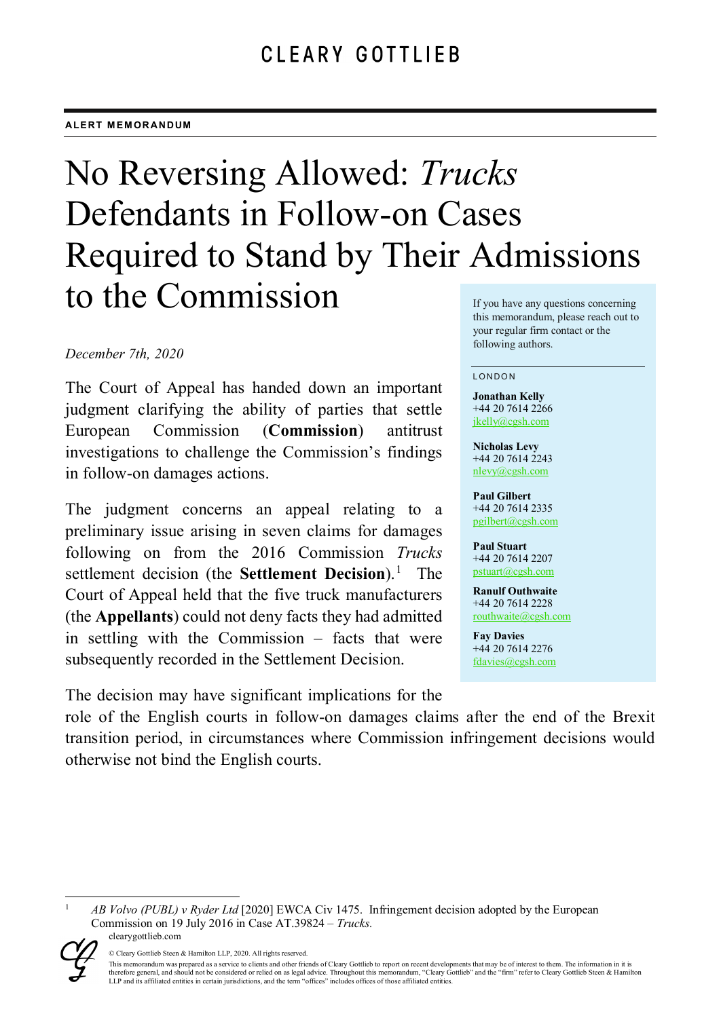# No Reversing Allowed: *Trucks* Defendants in Follow-on Cases Required to Stand by Their Admissions to the Commission If you have any questions concerning

# *December 7th, 2020*

The Court of Appeal has handed down an important judgment clarifying the ability of parties that settle European Commission (**Commission**) antitrust investigations to challenge the Commission's findings in follow-on damages actions.

The judgment concerns an appeal relating to a preliminary issue arising in seven claims for damages following on from the 2016 Commission *Trucks*  settlement decision (the **Settlement Decision**).<sup>[1](#page-0-0)</sup> The Court of Appeal held that the five truck manufacturers (the **Appellants**) could not deny facts they had admitted in settling with the Commission – facts that were subsequently recorded in the Settlement Decision.

The decision may have significant implications for the

this memorandum, please reach out to your regular firm contact or the following authors.

#### LONDON

**Jonathan Kelly** +44 20 7614 2266 [jkelly@cgsh.com](mailto:jkelly@cgsh.com)

**Nicholas Levy** +44 20 7614 2243 [nlevy@cgsh.com](mailto:nlevy@cgsh.com)

**Paul Gilbert** +44 20 7614 2335 [pgilbert@cgsh.com](mailto:pgilbert@cgsh.com)

**Paul Stuart** +44 20 7614 2207 [pstuart@cgsh.com](mailto:pstuart@cgsh.com)

**Ranulf Outhwaite** +44 20 7614 2228 [routhwaite@cgsh.com](mailto:routhwaite@cgsh.com)

**Fay Davies** +44 20 7614 2276 [fdavies@cgsh.com](mailto:fdavies@cgsh.com)

role of the English courts in follow-on damages claims after the end of the Brexit transition period, in circumstances where Commission infringement decisions would otherwise not bind the English courts.

<span id="page-0-0"></span>clearygottlieb.com 1 *AB Volvo (PUBL) v Ryder Ltd* [2020] EWCA Civ 1475. Infringement decision adopted by the European Commission on 19 July 2016 in Case AT.39824 – *Trucks.*



<sup>©</sup> Cleary Gottlieb Steen & Hamilton LLP, 2020. All rights reserved.

This memorandum was prepared as a service to clients and other friends of Cleary Gottlieb to report on recent developments that may be of interest to them. The information in it is therefore general, and should not be considered or relied on as legal advice. Throughout this memorandum, "Cleary Gottlieb" and the "firm" refer to Cleary Gottlieb Steen & Hamilton<br>LLP and its affiliated entities in certai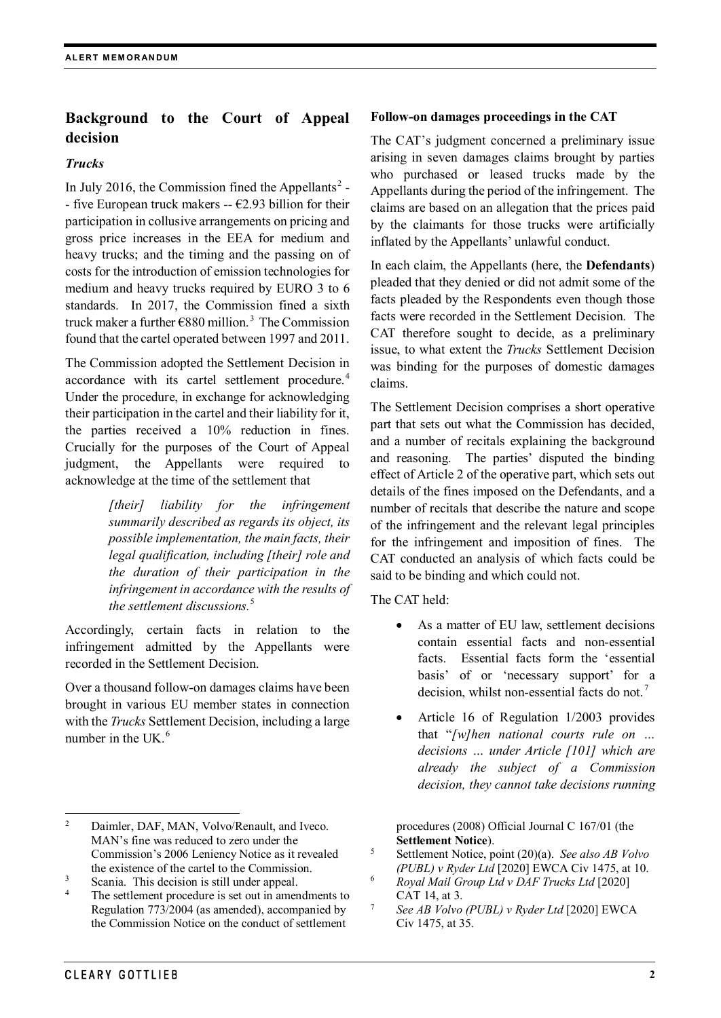# **Background to the Court of Appeal decision**

# *Trucks*

In July [2](#page-1-0)016, the Commission fined the Appellants<sup>2</sup> -- five European truck makers --  $\epsilon$ 2.93 billion for their participation in collusive arrangements on pricing and gross price increases in the EEA for medium and heavy trucks; and the timing and the passing on of costs for the introduction of emission technologies for medium and heavy trucks required by EURO 3 to 6 standards. In 2017, the Commission fined a sixth truck maker a further  $\epsilon$ 880 million.<sup>[3](#page-1-1)</sup> The Commission found that the cartel operated between 1997 and 2011.

The Commission adopted the Settlement Decision in accordance with its cartel settlement procedure.<sup>[4](#page-1-2)</sup> Under the procedure, in exchange for acknowledging their participation in the cartel and their liability for it, the parties received a 10% reduction in fines. Crucially for the purposes of the Court of Appeal judgment, the Appellants were required to acknowledge at the time of the settlement that

> *[their] liability for the infringement summarily described as regards its object, its possible implementation, the main facts, their legal qualification, including [their] role and the duration of their participation in the infringement in accordance with the results of the settlement discussions.* [5](#page-1-3)

Accordingly, certain facts in relation to the infringement admitted by the Appellants were recorded in the Settlement Decision.

Over a thousand follow-on damages claims have been brought in various EU member states in connection with the *Trucks* Settlement Decision, including a large number in the UK.<sup>[6](#page-1-1)</sup>

<span id="page-1-3"></span><span id="page-1-1"></span><sup>3</sup> Scania. This decision is still under appeal.

# **Follow-on damages proceedings in the CAT**

The CAT's judgment concerned a preliminary issue arising in seven damages claims brought by parties who purchased or leased trucks made by the Appellants during the period of the infringement. The claims are based on an allegation that the prices paid by the claimants for those trucks were artificially inflated by the Appellants' unlawful conduct.

In each claim, the Appellants (here, the **Defendants**) pleaded that they denied or did not admit some of the facts pleaded by the Respondents even though those facts were recorded in the Settlement Decision. The CAT therefore sought to decide, as a preliminary issue, to what extent the *Trucks* Settlement Decision was binding for the purposes of domestic damages claims.

The Settlement Decision comprises a short operative part that sets out what the Commission has decided, and a number of recitals explaining the background and reasoning. The parties' disputed the binding effect of Article 2 of the operative part, which sets out details of the fines imposed on the Defendants, and a number of recitals that describe the nature and scope of the infringement and the relevant legal principles for the infringement and imposition of fines. The CAT conducted an analysis of which facts could be said to be binding and which could not.

The CAT held:

- As a matter of EU law, settlement decisions contain essential facts and non-essential facts. Essential facts form the 'essential basis' of or 'necessary support' for a decision, whilst non-essential facts do not.<sup>[7](#page-1-4)</sup>
- Article 16 of Regulation 1/2003 provides that "*[w]hen national courts rule on … decisions … under Article [101] which are already the subject of a Commission decision, they cannot take decisions running*

procedures (2008) Official Journal C 167/01 (the **Settlement Notice**).

- <sup>5</sup> Settlement Notice, point (20)(a). *See also AB Volvo (PUBL) v Ryder Ltd* [2020] EWCA Civ 1475, at 10.
- <sup>6</sup> *Royal Mail Group Ltd v DAF Trucks Ltd* [2020] CAT 14, at 3.
- <sup>7</sup> *See AB Volvo (PUBL) v Ryder Ltd* [2020] EWCA Civ 1475, at 35.

<span id="page-1-0"></span><sup>&</sup>lt;sup>2</sup> Daimler, DAF, MAN, Volvo/Renault, and Iveco. MAN's fine was reduced to zero under the Commission's 2006 Leniency Notice as it revealed the existence of the cartel to the Commission.

<span id="page-1-4"></span><span id="page-1-2"></span>The settlement procedure is set out in amendments to Regulation 773/2004 (as amended), accompanied by the Commission Notice on the conduct of settlement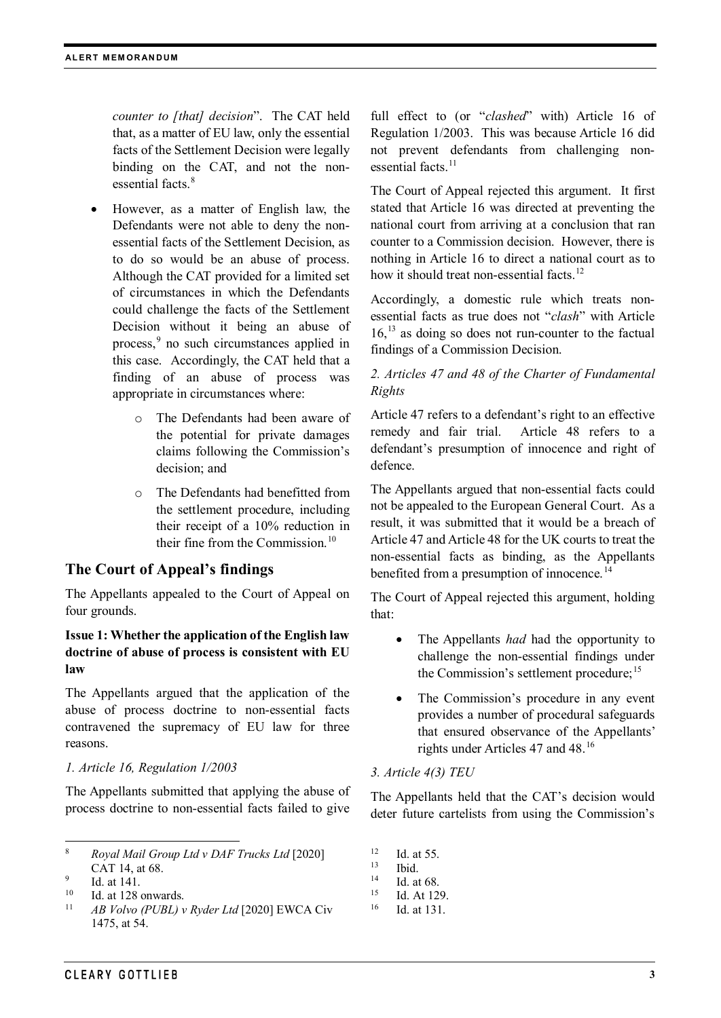*counter to [that] decision*". The CAT held that, as a matter of EU law, only the essential facts of the Settlement Decision were legally binding on the CAT, and not the non-essential facts.<sup>[8](#page-2-0)</sup>

- However, as a matter of English law, the Defendants were not able to deny the nonessential facts of the Settlement Decision, as to do so would be an abuse of process. Although the CAT provided for a limited set of circumstances in which the Defendants could challenge the facts of the Settlement Decision without it being an abuse of process, [9](#page-2-1) no such circumstances applied in this case. Accordingly, the CAT held that a finding of an abuse of process was appropriate in circumstances where:
	- o The Defendants had been aware of the potential for private damages claims following the Commission's decision; and
	- o The Defendants had benefitted from the settlement procedure, including their receipt of a 10% reduction in their fine from the Commission.<sup>[10](#page-2-2)</sup>

# **The Court of Appeal's findings**

The Appellants appealed to the Court of Appeal on four grounds.

#### **Issue 1: Whether the application of the English law doctrine of abuse of process is consistent with EU law**

The Appellants argued that the application of the abuse of process doctrine to non-essential facts contravened the supremacy of EU law for three reasons.

#### *1. Article 16, Regulation 1/2003*

The Appellants submitted that applying the abuse of process doctrine to non-essential facts failed to give

- <span id="page-2-2"></span><sup>10</sup> Id. at 128 onwards.
- <span id="page-2-3"></span><sup>11</sup> *AB Volvo (PUBL) v Ryder Ltd* [2020] EWCA Civ 1475, at 54.

full effect to (or "*clashed*" with) Article 16 of Regulation 1/2003. This was because Article 16 did not prevent defendants from challenging nonessential facts. $11$ 

The Court of Appeal rejected this argument. It first stated that Article 16 was directed at preventing the national court from arriving at a conclusion that ran counter to a Commission decision. However, there is nothing in Article 16 to direct a national court as to how it should treat non-essential facts.<sup>[12](#page-2-0)</sup>

Accordingly, a domestic rule which treats nonessential facts as true does not "*clash*" with Article 16, [13](#page-2-4) as doing so does not run-counter to the factual findings of a Commission Decision.

# *2. Articles 47 and 48 of the Charter of Fundamental Rights*

Article 47 refers to a defendant's right to an effective remedy and fair trial. Article 48 refers to a defendant's presumption of innocence and right of defence.

The Appellants argued that non-essential facts could not be appealed to the European General Court. As a result, it was submitted that it would be a breach of Article 47 and Article 48 for the UK courts to treat the non-essential facts as binding, as the Appellants benefited from a presumption of innocence.<sup>[14](#page-2-1)</sup>

The Court of Appeal rejected this argument, holding that:

- The Appellants *had* had the opportunity to challenge the non-essential findings under the Commission's settlement procedure;<sup>[15](#page-2-2)</sup>
- The Commission's procedure in any event provides a number of procedural safeguards that ensured observance of the Appellants' rights under Articles 47 and 48.[16](#page-2-3)

#### *3. Article 4(3) TEU*

The Appellants held that the CAT's decision would deter future cartelists from using the Commission's

 $12$  Id. at 55.

- $15$  Id. At 129.
- <sup>16</sup> Id. at 131.

<span id="page-2-0"></span> <sup>8</sup> *Royal Mail Group Ltd v DAF Trucks Ltd* [2020] CAT 14, at 68.

<span id="page-2-4"></span><span id="page-2-1"></span> $\frac{9}{10}$  Id. at 141.

 $\frac{13}{14}$  Ibid.

 $14$  Id. at 68.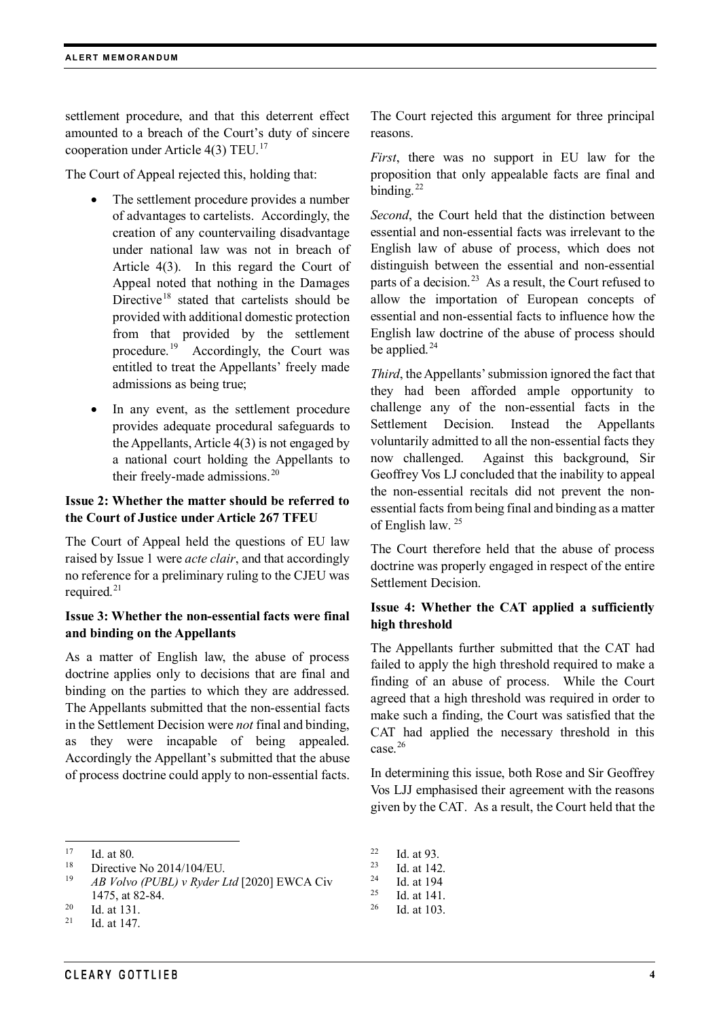settlement procedure, and that this deterrent effect amounted to a breach of the Court's duty of sincere cooperation under Article  $4(3)$  TEU.<sup>[17](#page-3-0)</sup>

The Court of Appeal rejected this, holding that:

- The settlement procedure provides a number of advantages to cartelists. Accordingly, the creation of any countervailing disadvantage under national law was not in breach of Article 4(3). In this regard the Court of Appeal noted that nothing in the Damages Directive<sup>[18](#page-3-1)</sup> stated that cartelists should be provided with additional domestic protection from that provided by the settlement procedure. [19](#page-3-2) Accordingly, the Court was entitled to treat the Appellants' freely made admissions as being true;
- In any event, as the settlement procedure provides adequate procedural safeguards to the Appellants, Article 4(3) is not engaged by a national court holding the Appellants to their freely-made admissions.<sup>[20](#page-3-3)</sup>

# **Issue 2: Whether the matter should be referred to the Court of Justice under Article 267 TFEU**

The Court of Appeal held the questions of EU law raised by Issue 1 were *acte clair*, and that accordingly no reference for a preliminary ruling to the CJEU was required.<sup>[21](#page-3-4)</sup>

#### **Issue 3: Whether the non-essential facts were final and binding on the Appellants**

As a matter of English law, the abuse of process doctrine applies only to decisions that are final and binding on the parties to which they are addressed. The Appellants submitted that the non-essential facts in the Settlement Decision were *not* final and binding, as they were incapable of being appealed. Accordingly the Appellant's submitted that the abuse of process doctrine could apply to non-essential facts.

```
19 AB Volvo (PUBL) v Ryder Ltd [2020] EWCA Civ 
1475, at 82-84.
```

```
\frac{20}{21} Id. at 131.
```
<span id="page-3-4"></span>Id. at 147.

The Court rejected this argument for three principal reasons.

*First*, there was no support in EU law for the proposition that only appealable facts are final and binding. $^{22}$ 

*Second*, the Court held that the distinction between essential and non-essential facts was irrelevant to the English law of abuse of process, which does not distinguish between the essential and non-essential parts of a decision.<sup>[23](#page-3-1)</sup> As a result, the Court refused to allow the importation of European concepts of essential and non-essential facts to influence how the English law doctrine of the abuse of process should be applied. $^{24}$  $^{24}$  $^{24}$ 

*Third*, the Appellants' submission ignored the fact that they had been afforded ample opportunity to challenge any of the non-essential facts in the Settlement Decision. Instead the Appellants voluntarily admitted to all the non-essential facts they now challenged. Against this background, Sir Geoffrey Vos LJ concluded that the inability to appeal the non-essential recitals did not prevent the nonessential facts from being final and binding as a matter of English law. [25](#page-3-5)

The Court therefore held that the abuse of process doctrine was properly engaged in respect of the entire Settlement Decision.

# **Issue 4: Whether the CAT applied a sufficiently high threshold**

The Appellants further submitted that the CAT had failed to apply the high threshold required to make a finding of an abuse of process. While the Court agreed that a high threshold was required in order to make such a finding, the Court was satisfied that the CAT had applied the necessary threshold in this case.<sup>[26](#page-3-3)</sup>

In determining this issue, both Rose and Sir Geoffrey Vos LJJ emphasised their agreement with the reasons given by the CAT. As a result, the Court held that the

 $\frac{22}{23}$  Id. at 93.

 $\frac{25}{26}$  Id. at 141.

<span id="page-3-0"></span> $17$  Id. at 80.

<span id="page-3-1"></span><sup>&</sup>lt;sup>18</sup> Directive No 2014/104/EU.<br><sup>19</sup>  $AP$  Velve (*PUPU*)  $v$  *Puder* I

 $\frac{23}{24}$  Id. at 142.

 $\frac{24}{25}$  Id. at 194

Id. at 103.